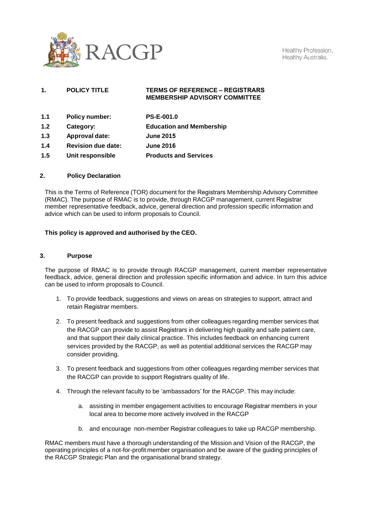

Healthy Profession. Healthy Australia.

# **1. POLICY TITLE TERMS OF REFERENCE – REGISTRARS MEMBERSHIP ADVISORY COMMITTEE**

| 1.1 | <b>Policy number:</b>     | <b>PS-E-001.0</b>               |
|-----|---------------------------|---------------------------------|
| 1.2 | Category:                 | <b>Education and Membership</b> |
| 1.3 | Approval date:            | <b>June 2015</b>                |
| 1.4 | <b>Revision due date:</b> | <b>June 2016</b>                |
| 1.5 | Unit responsible          | <b>Products and Services</b>    |

#### **2. Policy Declaration**

This is the Terms of Reference (TOR) document for the Registrars Membership Advisory Committee (RMAC). The purpose of RMAC is to provide, through RACGP management, current Registrar member representative feedback, advice, general direction and profession specific information and advice which can be used to inform proposals to Council.

# **This policy is approved and authorised by the CEO.**

#### **3. Purpose**

The purpose of RMAC is to provide through RACGP management, current member representative feedback, advice, general direction and profession specific information and advice. In turn this advice can be used to inform proposals to Council.

- 1. To provide feedback, suggestions and views on areas on strategies to support, attract and retain Registrar members.
- 2. To present feedback and suggestions from other colleagues regarding member services that the RACGP can provide to assist Registrars in delivering high quality and safe patient care, and that support their daily clinical practice. This includes feedback on enhancing current services provided by the RACGP, as well as potential additional services the RACGP may consider providing.
- 3. To present feedback and suggestions from other colleagues regarding member services that the RACGP can provide to support Registrars quality of life.
- 4. Through the relevant faculty to be 'ambassadors' for the RACGP. This may include:
	- a. assisting in member engagement activities to encourage Registrar members in your local area to become more actively involved in the RACGP
	- b. and encourage non-member Registrar colleagues to take up RACGP membership.

RMAC members must have a thorough understanding of the Mission and Vision of the RACGP, the operating principles of a not-for-profit member organisation and be aware of the guiding principles of the RACGP Strategic Plan and the organisational brand strategy.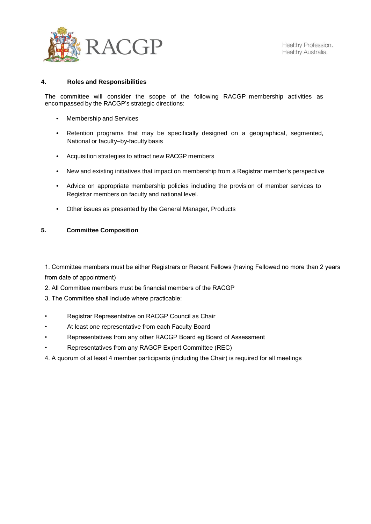

# **4. Roles and Responsibilities**

The committee will consider the scope of the following RACGP membership activities as encompassed by the RACGP's strategic directions:

- Membership and Services
- Retention programs that may be specifically designed on a geographical, segmented, National or faculty–by-faculty basis
- Acquisition strategies to attract new RACGP members
- New and existing initiatives that impact on membership from a Registrar member's perspective
- Advice on appropriate membership policies including the provision of member services to Registrar members on faculty and national level.
- Other issues as presented by the General Manager, Products

# **5. Committee Composition**

1. Committee members must be either Registrars or Recent Fellows (having Fellowed no more than 2 years from date of appointment)

- 2. All Committee members must be financial members of the RACGP
- 3. The Committee shall include where practicable:
- Registrar Representative on RACGP Council as Chair
- At least one representative from each Faculty Board
- Representatives from any other RACGP Board eg Board of Assessment
- Representatives from any RAGCP Expert Committee (REC)
- 4. A quorum of at least 4 member participants (including the Chair) is required for all meetings